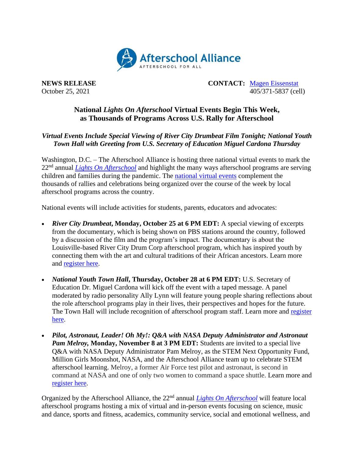

**NEWS RELEASE CONTACT:** [Magen Eissenstat](mailto:magen@prsolutionsdc.com) October 25, 2021 405/371-5837 (cell)

## **National** *Lights On Afterschool* **Virtual Events Begin This Week, as Thousands of Programs Across U.S. Rally for Afterschool**

## *Virtual Events Include Special Viewing of River City Drumbeat Film Tonight; National Youth Town Hall with Greeting from U.S. Secretary of Education Miguel Cardona Thursday*

Washington, D.C. – The Afterschool Alliance is hosting three national virtual events to mark the 22nd annual *[Lights On Afterschool](http://www.afterschoolalliance.org/loa.cfm)* and highlight the many ways afterschool programs are serving children and families during the pandemic. The [national virtual events](http://www.afterschoolalliance.org/loaVirtualEvents.cfm?utm_source=sendinblue&utm_campaign=Lights%20On%20is%20Next%20Week%20Updates%20for%20States&utm_medium=email) complement the thousands of rallies and celebrations being organized over the course of the week by local afterschool programs across the country.

National events will include activities for students, parents, educators and advocates:

- *River City Drumbeat***, Monday, October 25 at 6 PM EDT:** A special viewing of excerpts from the documentary, which is being shown on PBS stations around the country, followed by a discussion of the film and the program's impact. The documentary is about the Louisville-based River City Drum Corp afterschool program, which has inspired youth by connecting them with the art and cultural traditions of their African ancestors. Learn more and [register here.](http://www.afterschoolalliance.org/webinars.cfm?ID=FC567E0C-5056-A82E-7AC20CF91F7CAA2C&utm_source=sendinblue&utm_campaign=Lights%20On%20is%20Next%20Week%20Updates%20for%20States&utm_medium=email)
- *National Youth Town Hall***, Thursday, October 28 at 6 PM EDT:** U.S. Secretary of Education Dr. Miguel Cardona will kick off the event with a taped message. A panel moderated by radio personality Ally Lynn will feature young people sharing reflections about the role afterschool programs play in their lives, their perspectives and hopes for the future. The Town Hall will include recognition of afterschool program staff. Learn more and [register](http://www.afterschoolalliance.org/webinars.cfm?ID=C3D2DE6F-5056-A82E-7AFEA04C425F83EE&utm_source=sendinblue&utm_campaign=Lights%20On%20is%20Next%20Week%20Updates%20for%20States&utm_medium=email)  [here.](http://www.afterschoolalliance.org/webinars.cfm?ID=C3D2DE6F-5056-A82E-7AFEA04C425F83EE&utm_source=sendinblue&utm_campaign=Lights%20On%20is%20Next%20Week%20Updates%20for%20States&utm_medium=email)
- *Pilot, Astronaut, Leader! Oh My!: Q&A with NASA Deputy Administrator and Astronaut Pam Melroy,* **Monday, November 8 at 3 PM EDT:** Students are invited to a special live Q&A with NASA Deputy Administrator Pam Melroy, as the STEM Next Opportunity Fund, Million Girls Moonshot, NASA, and the Afterschool Alliance team up to celebrate STEM afterschool learning. Melroy, a former Air Force test pilot and astronaut, is second in command at NASA and one of only two women to command a space shuttle. Learn more and [register here.](https://0af1eebc.sibforms.com/serve/MUIEACXhb4GAZmKjCa0cm90_yWKCsMfSBto7TE2x2CMuTsxaCn9_2ZWGulb4KhhUIaD9Kbs0lbAmiPKs_oBKsaWWfEaJCUlP7TVLiLJqaaWMDgR3ZNkIMF72XLsARc-9X7O-tNZd2cEvTjVmp3K6uq4crhXWI03fPr5j6sWnD-0mQiYFLDj0tj7CY3GBt7qPSRguoLaGktJEeoav?utm_source=sendinblue&utm_campaign=Lights%20On%20is%20Next%20Week%20Updates%20for%20States&utm_medium=email)

Organized by the Afterschool Alliance, the 22nd annual *[Lights On Afterschool](http://www.afterschoolalliance.org/loa.cfm)* will feature local afterschool programs hosting a mix of virtual and in-person events focusing on science, music and dance, sports and fitness, academics, community service, social and emotional wellness, and